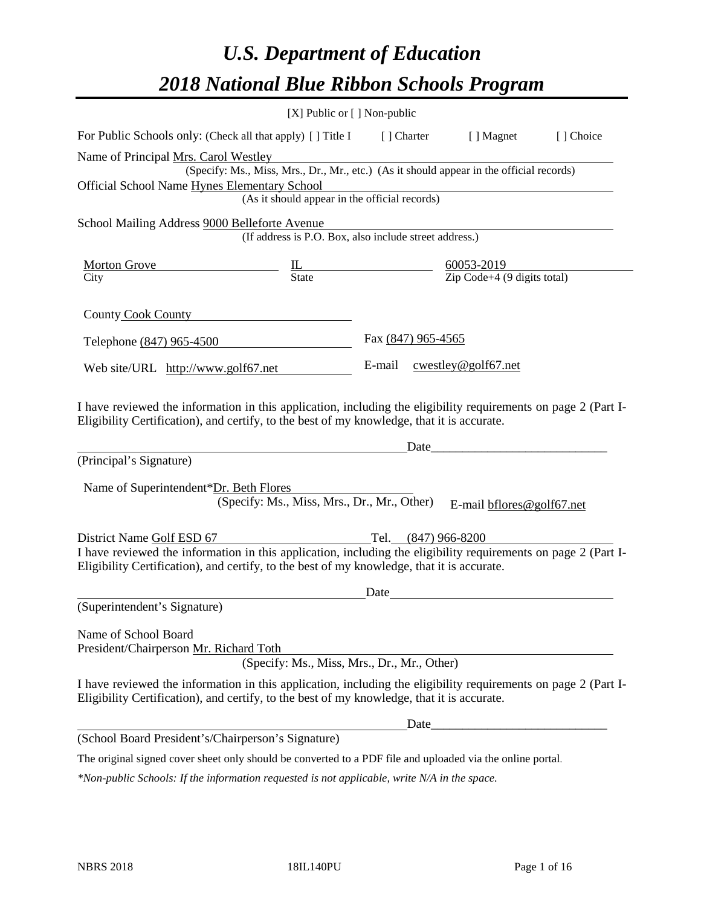# *U.S. Department of Education 2018 National Blue Ribbon Schools Program*

|                                                                                                                                                                                                                                                                                                                                                                                                                                                                                     | [X] Public or [] Non-public                            |                    |                                                                                          |           |
|-------------------------------------------------------------------------------------------------------------------------------------------------------------------------------------------------------------------------------------------------------------------------------------------------------------------------------------------------------------------------------------------------------------------------------------------------------------------------------------|--------------------------------------------------------|--------------------|------------------------------------------------------------------------------------------|-----------|
| For Public Schools only: (Check all that apply) [] Title I [] Charter [] Magnet                                                                                                                                                                                                                                                                                                                                                                                                     |                                                        |                    |                                                                                          | [] Choice |
| Name of Principal Mrs. Carol Westley                                                                                                                                                                                                                                                                                                                                                                                                                                                |                                                        |                    |                                                                                          |           |
|                                                                                                                                                                                                                                                                                                                                                                                                                                                                                     |                                                        |                    | (Specify: Ms., Miss, Mrs., Dr., Mr., etc.) (As it should appear in the official records) |           |
| Official School Name Hynes Elementary School                                                                                                                                                                                                                                                                                                                                                                                                                                        |                                                        |                    | ementary School<br>(As it should appear in the official records)                         |           |
|                                                                                                                                                                                                                                                                                                                                                                                                                                                                                     |                                                        |                    |                                                                                          |           |
| School Mailing Address 9000 Belleforte Avenue                                                                                                                                                                                                                                                                                                                                                                                                                                       |                                                        |                    |                                                                                          |           |
|                                                                                                                                                                                                                                                                                                                                                                                                                                                                                     | (If address is P.O. Box, also include street address.) |                    |                                                                                          |           |
|                                                                                                                                                                                                                                                                                                                                                                                                                                                                                     |                                                        |                    |                                                                                          |           |
| Morton Grove $\underline{\phantom{a}}$ $\underline{\phantom{a}}$ $\underline{\phantom{a}}$ $\underline{\phantom{a}}$ $\underline{\phantom{a}}$ $\underline{\phantom{a}}$ $\underline{\phantom{a}}$ $\underline{\phantom{a}}$ $\underline{\phantom{a}}$ $\underline{\phantom{a}}$ $\underline{\phantom{a}}$ $\underline{\phantom{a}}$ $\underline{\phantom{a}}$ $\underline{\phantom{a}}$ $\underline{\phantom{a}}$ $\underline{\phantom{a}}$ $\underline{\phantom{a}}$ $\underline$ |                                                        |                    |                                                                                          |           |
|                                                                                                                                                                                                                                                                                                                                                                                                                                                                                     |                                                        |                    |                                                                                          |           |
| County Cook County                                                                                                                                                                                                                                                                                                                                                                                                                                                                  |                                                        |                    |                                                                                          |           |
|                                                                                                                                                                                                                                                                                                                                                                                                                                                                                     |                                                        | Fax (847) 965-4565 |                                                                                          |           |
| Telephone (847) 965-4500                                                                                                                                                                                                                                                                                                                                                                                                                                                            |                                                        |                    |                                                                                          |           |
| Web site/URL http://www.golf67.net                                                                                                                                                                                                                                                                                                                                                                                                                                                  |                                                        |                    | E-mail cwestley@golf67.net                                                               |           |
|                                                                                                                                                                                                                                                                                                                                                                                                                                                                                     |                                                        |                    |                                                                                          |           |
| I have reviewed the information in this application, including the eligibility requirements on page 2 (Part I-<br>Eligibility Certification), and certify, to the best of my knowledge, that it is accurate.                                                                                                                                                                                                                                                                        |                                                        |                    |                                                                                          |           |
|                                                                                                                                                                                                                                                                                                                                                                                                                                                                                     |                                                        | Date               |                                                                                          |           |
| (Principal's Signature)                                                                                                                                                                                                                                                                                                                                                                                                                                                             |                                                        |                    |                                                                                          |           |
|                                                                                                                                                                                                                                                                                                                                                                                                                                                                                     |                                                        |                    |                                                                                          |           |
| Name of Superintendent*Dr. Beth Flores                                                                                                                                                                                                                                                                                                                                                                                                                                              | (Specify: Ms., Miss, Mrs., Dr., Mr., Other)            |                    |                                                                                          |           |
|                                                                                                                                                                                                                                                                                                                                                                                                                                                                                     |                                                        |                    | E-mail bflores@golf67.net                                                                |           |
|                                                                                                                                                                                                                                                                                                                                                                                                                                                                                     |                                                        |                    |                                                                                          |           |
| District Name Golf ESD 67<br>I have reviewed the information in this application, including the eligibility requirements on page 2 (Part I-                                                                                                                                                                                                                                                                                                                                         |                                                        |                    |                                                                                          |           |
| Eligibility Certification), and certify, to the best of my knowledge, that it is accurate.                                                                                                                                                                                                                                                                                                                                                                                          |                                                        |                    |                                                                                          |           |
|                                                                                                                                                                                                                                                                                                                                                                                                                                                                                     |                                                        |                    |                                                                                          |           |
| (Superintendent's Signature)                                                                                                                                                                                                                                                                                                                                                                                                                                                        |                                                        | Date               |                                                                                          |           |
|                                                                                                                                                                                                                                                                                                                                                                                                                                                                                     |                                                        |                    |                                                                                          |           |
| Name of School Board                                                                                                                                                                                                                                                                                                                                                                                                                                                                |                                                        |                    |                                                                                          |           |
| President/Chairperson Mr. Richard Toth                                                                                                                                                                                                                                                                                                                                                                                                                                              |                                                        |                    |                                                                                          |           |
|                                                                                                                                                                                                                                                                                                                                                                                                                                                                                     | (Specify: Ms., Miss, Mrs., Dr., Mr., Other)            |                    |                                                                                          |           |
| I have reviewed the information in this application, including the eligibility requirements on page 2 (Part I-<br>Eligibility Certification), and certify, to the best of my knowledge, that it is accurate.                                                                                                                                                                                                                                                                        |                                                        |                    |                                                                                          |           |
|                                                                                                                                                                                                                                                                                                                                                                                                                                                                                     |                                                        |                    |                                                                                          |           |
| (School Board President's/Chairperson's Signature)                                                                                                                                                                                                                                                                                                                                                                                                                                  |                                                        |                    |                                                                                          |           |
| The original signed cover sheet only should be converted to a PDF file and uploaded via the online portal.                                                                                                                                                                                                                                                                                                                                                                          |                                                        |                    |                                                                                          |           |

*\*Non-public Schools: If the information requested is not applicable, write N/A in the space.*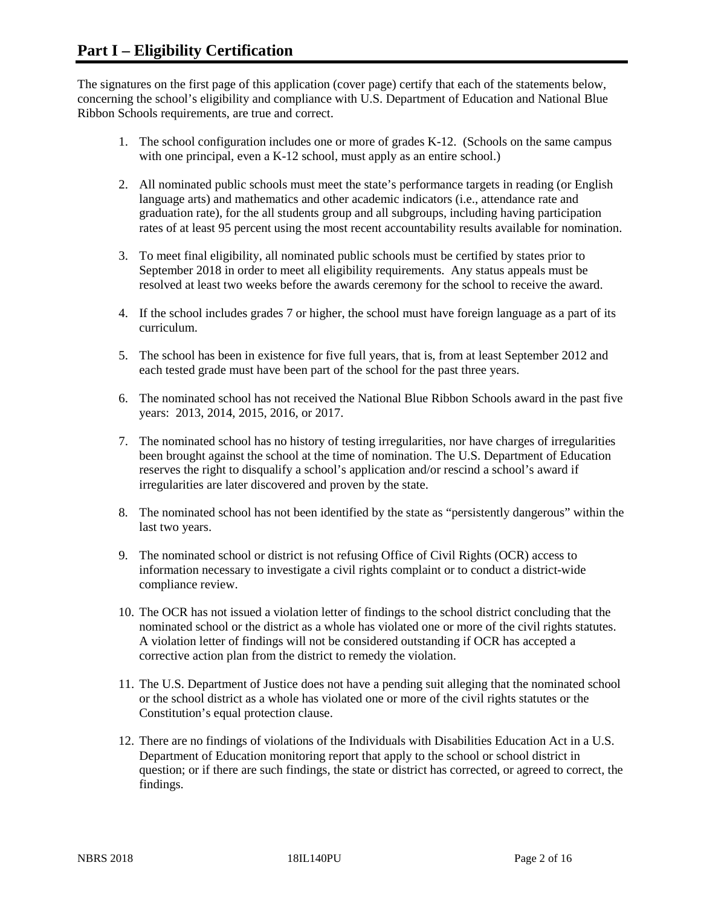The signatures on the first page of this application (cover page) certify that each of the statements below, concerning the school's eligibility and compliance with U.S. Department of Education and National Blue Ribbon Schools requirements, are true and correct.

- 1. The school configuration includes one or more of grades K-12. (Schools on the same campus with one principal, even a K-12 school, must apply as an entire school.)
- 2. All nominated public schools must meet the state's performance targets in reading (or English language arts) and mathematics and other academic indicators (i.e., attendance rate and graduation rate), for the all students group and all subgroups, including having participation rates of at least 95 percent using the most recent accountability results available for nomination.
- 3. To meet final eligibility, all nominated public schools must be certified by states prior to September 2018 in order to meet all eligibility requirements. Any status appeals must be resolved at least two weeks before the awards ceremony for the school to receive the award.
- 4. If the school includes grades 7 or higher, the school must have foreign language as a part of its curriculum.
- 5. The school has been in existence for five full years, that is, from at least September 2012 and each tested grade must have been part of the school for the past three years.
- 6. The nominated school has not received the National Blue Ribbon Schools award in the past five years: 2013, 2014, 2015, 2016, or 2017.
- 7. The nominated school has no history of testing irregularities, nor have charges of irregularities been brought against the school at the time of nomination. The U.S. Department of Education reserves the right to disqualify a school's application and/or rescind a school's award if irregularities are later discovered and proven by the state.
- 8. The nominated school has not been identified by the state as "persistently dangerous" within the last two years.
- 9. The nominated school or district is not refusing Office of Civil Rights (OCR) access to information necessary to investigate a civil rights complaint or to conduct a district-wide compliance review.
- 10. The OCR has not issued a violation letter of findings to the school district concluding that the nominated school or the district as a whole has violated one or more of the civil rights statutes. A violation letter of findings will not be considered outstanding if OCR has accepted a corrective action plan from the district to remedy the violation.
- 11. The U.S. Department of Justice does not have a pending suit alleging that the nominated school or the school district as a whole has violated one or more of the civil rights statutes or the Constitution's equal protection clause.
- 12. There are no findings of violations of the Individuals with Disabilities Education Act in a U.S. Department of Education monitoring report that apply to the school or school district in question; or if there are such findings, the state or district has corrected, or agreed to correct, the findings.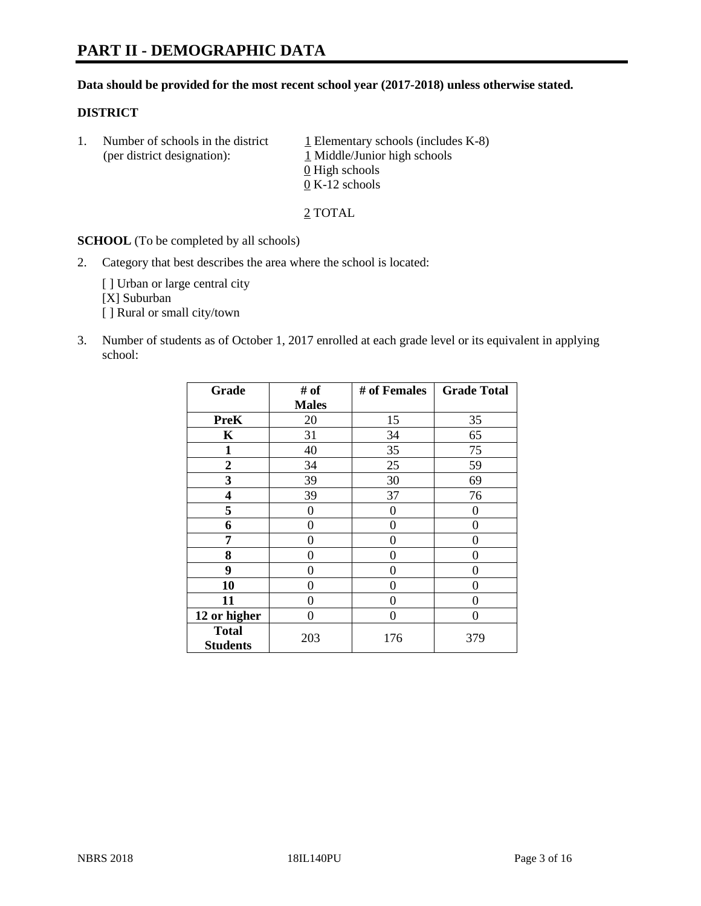#### **Data should be provided for the most recent school year (2017-2018) unless otherwise stated.**

#### **DISTRICT**

1. Number of schools in the district  $1$  Elementary schools (includes K-8) (per district designation): 1 Middle/Junior high schools 0 High schools 0 K-12 schools

2 TOTAL

**SCHOOL** (To be completed by all schools)

2. Category that best describes the area where the school is located:

[] Urban or large central city [X] Suburban [] Rural or small city/town

3. Number of students as of October 1, 2017 enrolled at each grade level or its equivalent in applying school:

| Grade                           | # of         | # of Females | <b>Grade Total</b> |
|---------------------------------|--------------|--------------|--------------------|
|                                 | <b>Males</b> |              |                    |
| <b>PreK</b>                     | 20           | 15           | 35                 |
| K                               | 31           | 34           | 65                 |
| 1                               | 40           | 35           | 75                 |
| 2                               | 34           | 25           | 59                 |
| 3                               | 39           | 30           | 69                 |
| 4                               | 39           | 37           | 76                 |
| 5                               | 0            | 0            | 0                  |
| 6                               | 0            | 0            | 0                  |
| 7                               | 0            | 0            | 0                  |
| 8                               | 0            | 0            | 0                  |
| 9                               | 0            | 0            | 0                  |
| 10                              | 0            | 0            | 0                  |
| 11                              | 0            | 0            | 0                  |
| 12 or higher                    | 0            | 0            | 0                  |
| <b>Total</b><br><b>Students</b> | 203          | 176          | 379                |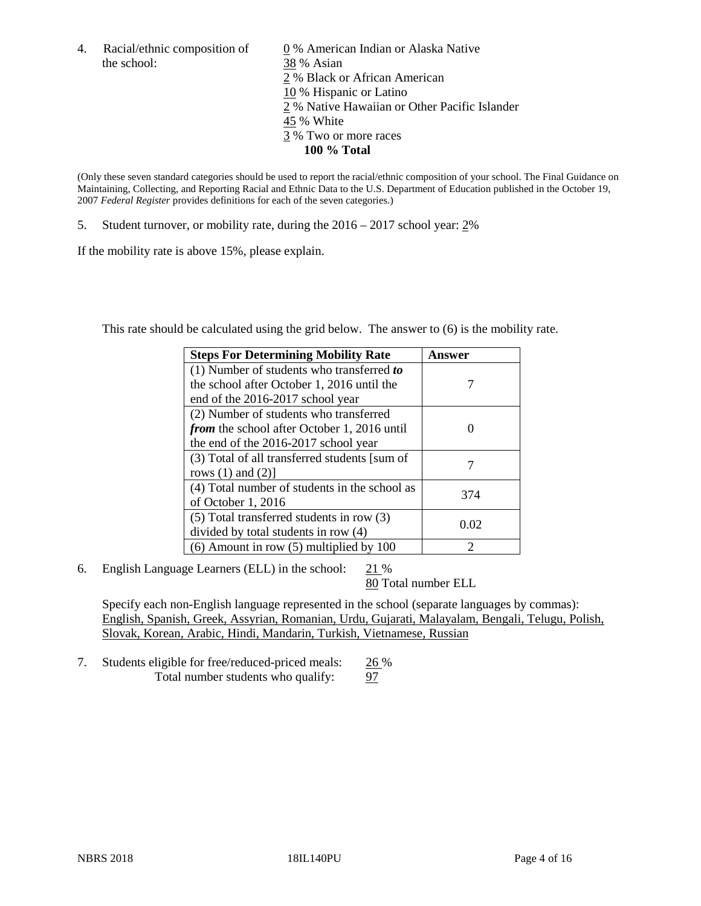the school: 38 % Asian

4. Racial/ethnic composition of  $\qquad 0\%$  American Indian or Alaska Native 2 % Black or African American 10 % Hispanic or Latino 2 % Native Hawaiian or Other Pacific Islander 45 % White 3 % Two or more races **100 % Total**

(Only these seven standard categories should be used to report the racial/ethnic composition of your school. The Final Guidance on Maintaining, Collecting, and Reporting Racial and Ethnic Data to the U.S. Department of Education published in the October 19, 2007 *Federal Register* provides definitions for each of the seven categories.)

5. Student turnover, or mobility rate, during the 2016 – 2017 school year: 2%

If the mobility rate is above 15%, please explain.

This rate should be calculated using the grid below. The answer to (6) is the mobility rate.

| <b>Steps For Determining Mobility Rate</b>         | Answer |
|----------------------------------------------------|--------|
| $(1)$ Number of students who transferred to        |        |
| the school after October 1, 2016 until the         |        |
| end of the 2016-2017 school year                   |        |
| (2) Number of students who transferred             |        |
| <i>from</i> the school after October 1, 2016 until |        |
| the end of the 2016-2017 school year               |        |
| (3) Total of all transferred students [sum of      |        |
| rows $(1)$ and $(2)$ ]                             |        |
| (4) Total number of students in the school as      |        |
| of October 1, 2016                                 | 374    |
| $(5)$ Total transferred students in row $(3)$      |        |
| divided by total students in row (4)               | 0.02   |
| $(6)$ Amount in row $(5)$ multiplied by 100        | 2      |

6. English Language Learners (ELL) in the school:  $21\%$ 

80 Total number ELL

Specify each non-English language represented in the school (separate languages by commas): English, Spanish, Greek, Assyrian, Romanian, Urdu, Gujarati, Malayalam, Bengali, Telugu, Polish, Slovak, Korean, Arabic, Hindi, Mandarin, Turkish, Vietnamese, Russian

7. Students eligible for free/reduced-priced meals: 26 % Total number students who qualify: 97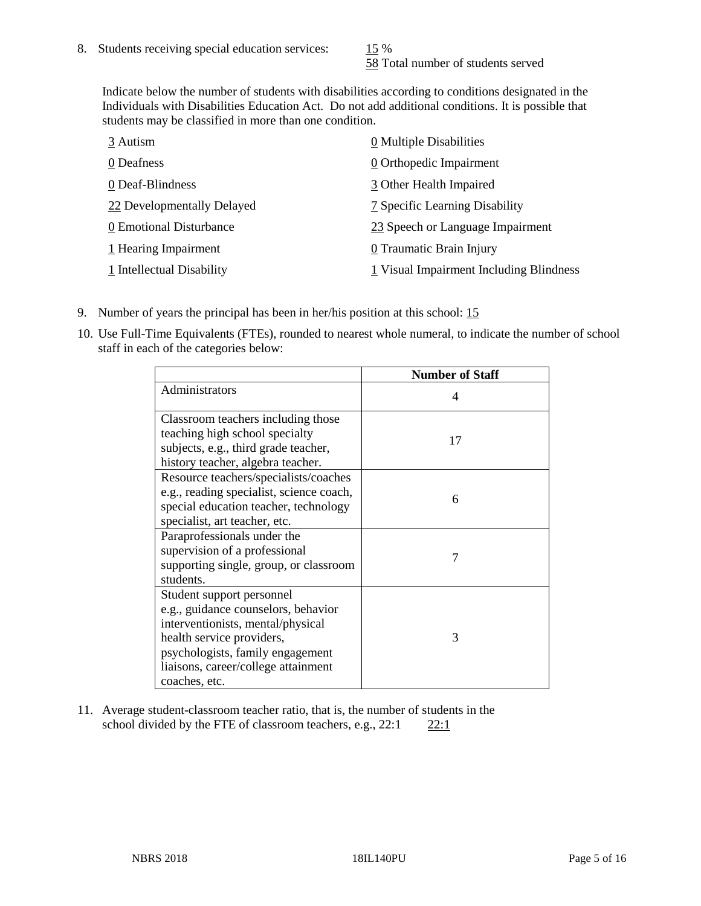58 Total number of students served

Indicate below the number of students with disabilities according to conditions designated in the Individuals with Disabilities Education Act. Do not add additional conditions. It is possible that students may be classified in more than one condition.

| 3 Autism                   | 0 Multiple Disabilities                 |
|----------------------------|-----------------------------------------|
| 0 Deafness                 | 0 Orthopedic Impairment                 |
| 0 Deaf-Blindness           | 3 Other Health Impaired                 |
| 22 Developmentally Delayed | 7 Specific Learning Disability          |
| 0 Emotional Disturbance    | 23 Speech or Language Impairment        |
| 1 Hearing Impairment       | 0 Traumatic Brain Injury                |
| 1 Intellectual Disability  | 1 Visual Impairment Including Blindness |

- 9. Number of years the principal has been in her/his position at this school: 15
- 10. Use Full-Time Equivalents (FTEs), rounded to nearest whole numeral, to indicate the number of school staff in each of the categories below:

|                                                                                                                                                                                                                                | <b>Number of Staff</b> |
|--------------------------------------------------------------------------------------------------------------------------------------------------------------------------------------------------------------------------------|------------------------|
| Administrators                                                                                                                                                                                                                 | 4                      |
| Classroom teachers including those<br>teaching high school specialty<br>subjects, e.g., third grade teacher,<br>history teacher, algebra teacher.                                                                              | 17                     |
| Resource teachers/specialists/coaches<br>e.g., reading specialist, science coach,<br>special education teacher, technology<br>specialist, art teacher, etc.                                                                    | 6                      |
| Paraprofessionals under the<br>supervision of a professional<br>supporting single, group, or classroom<br>students.                                                                                                            | 7                      |
| Student support personnel<br>e.g., guidance counselors, behavior<br>interventionists, mental/physical<br>health service providers,<br>psychologists, family engagement<br>liaisons, career/college attainment<br>coaches, etc. | 3                      |

11. Average student-classroom teacher ratio, that is, the number of students in the school divided by the FTE of classroom teachers, e.g.,  $22:1$  22:1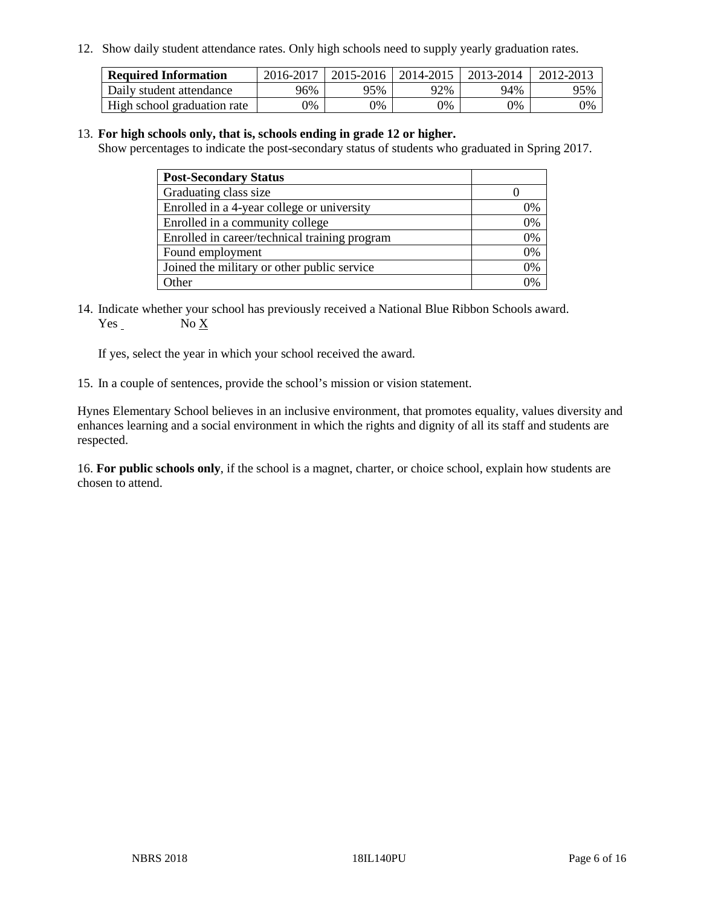12. Show daily student attendance rates. Only high schools need to supply yearly graduation rates.

| <b>Required Information</b> | 2016-2017 | $2015 - 2016$ | 2014-2015 | 2013-2014 | 2012-2013 |
|-----------------------------|-----------|---------------|-----------|-----------|-----------|
| Daily student attendance    | 96%       | 95%           | 92%       | 94%       | 95%       |
| High school graduation rate | 0%        | 0%            | 0%        | 9%        | 0%        |

#### 13. **For high schools only, that is, schools ending in grade 12 or higher.**

Show percentages to indicate the post-secondary status of students who graduated in Spring 2017.

| <b>Post-Secondary Status</b>                  |              |
|-----------------------------------------------|--------------|
| Graduating class size                         |              |
| Enrolled in a 4-year college or university    | 0%           |
| Enrolled in a community college               | 0%           |
| Enrolled in career/technical training program | 0%           |
| Found employment                              | 0%           |
| Joined the military or other public service   | 0%           |
| Other                                         | $\gamma_{0}$ |

14. Indicate whether your school has previously received a National Blue Ribbon Schools award. Yes No X

If yes, select the year in which your school received the award.

15. In a couple of sentences, provide the school's mission or vision statement.

Hynes Elementary School believes in an inclusive environment, that promotes equality, values diversity and enhances learning and a social environment in which the rights and dignity of all its staff and students are respected.

16. **For public schools only**, if the school is a magnet, charter, or choice school, explain how students are chosen to attend.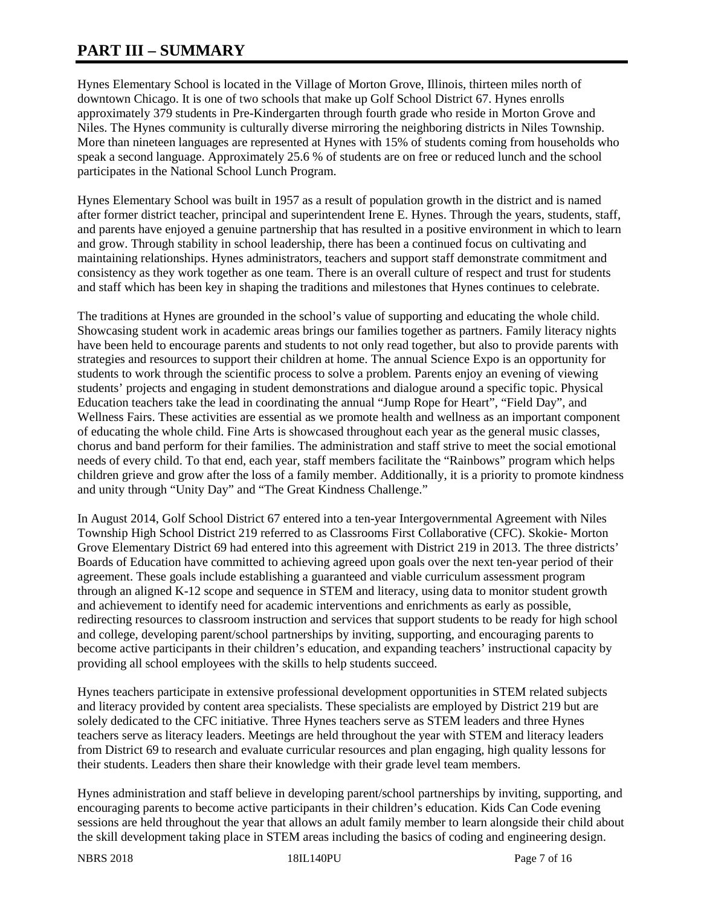# **PART III – SUMMARY**

Hynes Elementary School is located in the Village of Morton Grove, Illinois, thirteen miles north of downtown Chicago. It is one of two schools that make up Golf School District 67. Hynes enrolls approximately 379 students in Pre-Kindergarten through fourth grade who reside in Morton Grove and Niles. The Hynes community is culturally diverse mirroring the neighboring districts in Niles Township. More than nineteen languages are represented at Hynes with 15% of students coming from households who speak a second language. Approximately 25.6 % of students are on free or reduced lunch and the school participates in the National School Lunch Program.

Hynes Elementary School was built in 1957 as a result of population growth in the district and is named after former district teacher, principal and superintendent Irene E. Hynes. Through the years, students, staff, and parents have enjoyed a genuine partnership that has resulted in a positive environment in which to learn and grow. Through stability in school leadership, there has been a continued focus on cultivating and maintaining relationships. Hynes administrators, teachers and support staff demonstrate commitment and consistency as they work together as one team. There is an overall culture of respect and trust for students and staff which has been key in shaping the traditions and milestones that Hynes continues to celebrate.

The traditions at Hynes are grounded in the school's value of supporting and educating the whole child. Showcasing student work in academic areas brings our families together as partners. Family literacy nights have been held to encourage parents and students to not only read together, but also to provide parents with strategies and resources to support their children at home. The annual Science Expo is an opportunity for students to work through the scientific process to solve a problem. Parents enjoy an evening of viewing students' projects and engaging in student demonstrations and dialogue around a specific topic. Physical Education teachers take the lead in coordinating the annual "Jump Rope for Heart", "Field Day", and Wellness Fairs. These activities are essential as we promote health and wellness as an important component of educating the whole child. Fine Arts is showcased throughout each year as the general music classes, chorus and band perform for their families. The administration and staff strive to meet the social emotional needs of every child. To that end, each year, staff members facilitate the "Rainbows" program which helps children grieve and grow after the loss of a family member. Additionally, it is a priority to promote kindness and unity through "Unity Day" and "The Great Kindness Challenge."

In August 2014, Golf School District 67 entered into a ten-year Intergovernmental Agreement with Niles Township High School District 219 referred to as Classrooms First Collaborative (CFC). Skokie- Morton Grove Elementary District 69 had entered into this agreement with District 219 in 2013. The three districts' Boards of Education have committed to achieving agreed upon goals over the next ten-year period of their agreement. These goals include establishing a guaranteed and viable curriculum assessment program through an aligned K-12 scope and sequence in STEM and literacy, using data to monitor student growth and achievement to identify need for academic interventions and enrichments as early as possible, redirecting resources to classroom instruction and services that support students to be ready for high school and college, developing parent/school partnerships by inviting, supporting, and encouraging parents to become active participants in their children's education, and expanding teachers' instructional capacity by providing all school employees with the skills to help students succeed.

Hynes teachers participate in extensive professional development opportunities in STEM related subjects and literacy provided by content area specialists. These specialists are employed by District 219 but are solely dedicated to the CFC initiative. Three Hynes teachers serve as STEM leaders and three Hynes teachers serve as literacy leaders. Meetings are held throughout the year with STEM and literacy leaders from District 69 to research and evaluate curricular resources and plan engaging, high quality lessons for their students. Leaders then share their knowledge with their grade level team members.

Hynes administration and staff believe in developing parent/school partnerships by inviting, supporting, and encouraging parents to become active participants in their children's education. Kids Can Code evening sessions are held throughout the year that allows an adult family member to learn alongside their child about the skill development taking place in STEM areas including the basics of coding and engineering design.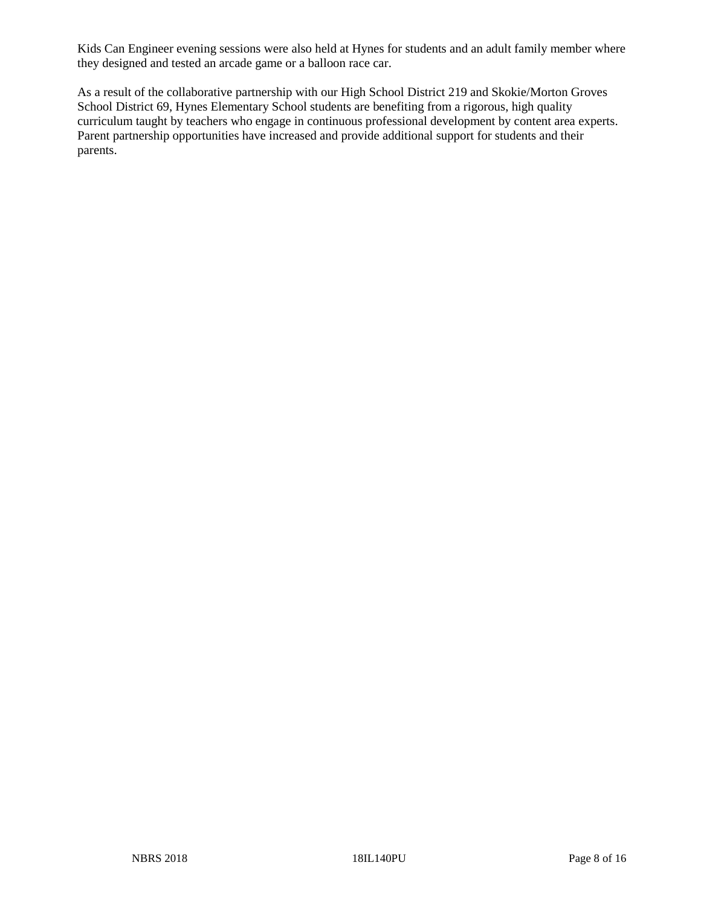Kids Can Engineer evening sessions were also held at Hynes for students and an adult family member where they designed and tested an arcade game or a balloon race car.

As a result of the collaborative partnership with our High School District 219 and Skokie/Morton Groves School District 69, Hynes Elementary School students are benefiting from a rigorous, high quality curriculum taught by teachers who engage in continuous professional development by content area experts. Parent partnership opportunities have increased and provide additional support for students and their parents.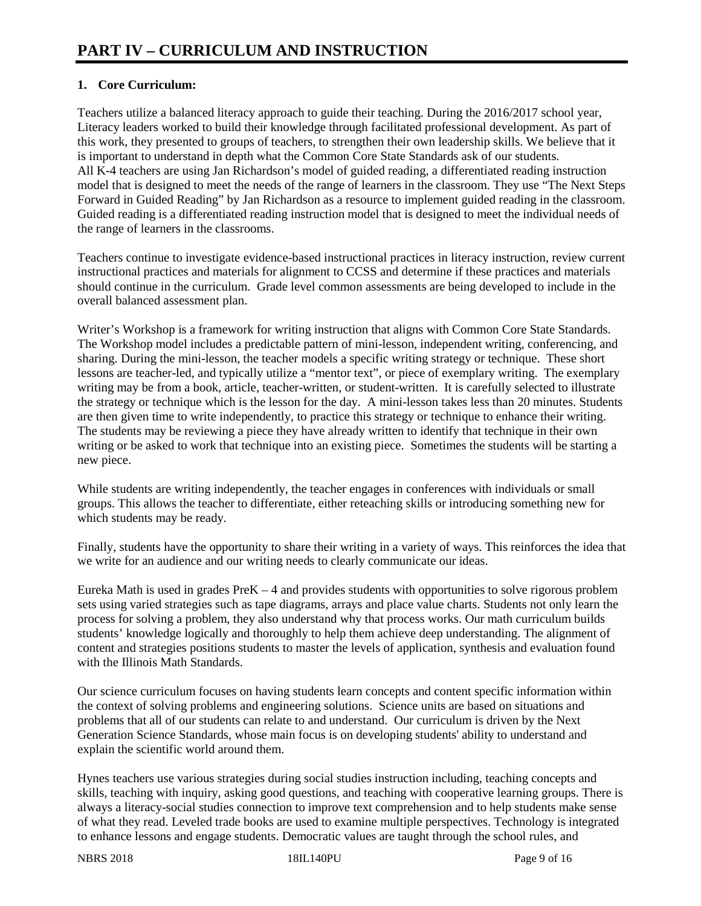### **1. Core Curriculum:**

Teachers utilize a balanced literacy approach to guide their teaching. During the 2016/2017 school year, Literacy leaders worked to build their knowledge through facilitated professional development. As part of this work, they presented to groups of teachers, to strengthen their own leadership skills. We believe that it is important to understand in depth what the Common Core State Standards ask of our students. All K-4 teachers are using Jan Richardson's model of guided reading, a differentiated reading instruction model that is designed to meet the needs of the range of learners in the classroom. They use "The Next Steps Forward in Guided Reading" by Jan Richardson as a resource to implement guided reading in the classroom. Guided reading is a differentiated reading instruction model that is designed to meet the individual needs of the range of learners in the classrooms.

Teachers continue to investigate evidence-based instructional practices in literacy instruction, review current instructional practices and materials for alignment to CCSS and determine if these practices and materials should continue in the curriculum. Grade level common assessments are being developed to include in the overall balanced assessment plan.

Writer's Workshop is a framework for writing instruction that aligns with Common Core State Standards. The Workshop model includes a predictable pattern of mini-lesson, independent writing, conferencing, and sharing. During the mini-lesson, the teacher models a specific writing strategy or technique. These short lessons are teacher-led, and typically utilize a "mentor text", or piece of exemplary writing. The exemplary writing may be from a book, article, teacher-written, or student-written. It is carefully selected to illustrate the strategy or technique which is the lesson for the day. A mini-lesson takes less than 20 minutes. Students are then given time to write independently, to practice this strategy or technique to enhance their writing. The students may be reviewing a piece they have already written to identify that technique in their own writing or be asked to work that technique into an existing piece. Sometimes the students will be starting a new piece.

While students are writing independently, the teacher engages in conferences with individuals or small groups. This allows the teacher to differentiate, either reteaching skills or introducing something new for which students may be ready.

Finally, students have the opportunity to share their writing in a variety of ways. This reinforces the idea that we write for an audience and our writing needs to clearly communicate our ideas.

Eureka Math is used in grades PreK – 4 and provides students with opportunities to solve rigorous problem sets using varied strategies such as tape diagrams, arrays and place value charts. Students not only learn the process for solving a problem, they also understand why that process works. Our math curriculum builds students' knowledge logically and thoroughly to help them achieve deep understanding. The alignment of content and strategies positions students to master the levels of application, synthesis and evaluation found with the Illinois Math Standards.

Our science curriculum focuses on having students learn concepts and content specific information within the context of solving problems and engineering solutions. Science units are based on situations and problems that all of our students can relate to and understand. Our curriculum is driven by the Next Generation Science Standards, whose main focus is on developing students' ability to understand and explain the scientific world around them.

Hynes teachers use various strategies during social studies instruction including, teaching concepts and skills, teaching with inquiry, asking good questions, and teaching with cooperative learning groups. There is always a literacy-social studies connection to improve text comprehension and to help students make sense of what they read. Leveled trade books are used to examine multiple perspectives. Technology is integrated to enhance lessons and engage students. Democratic values are taught through the school rules, and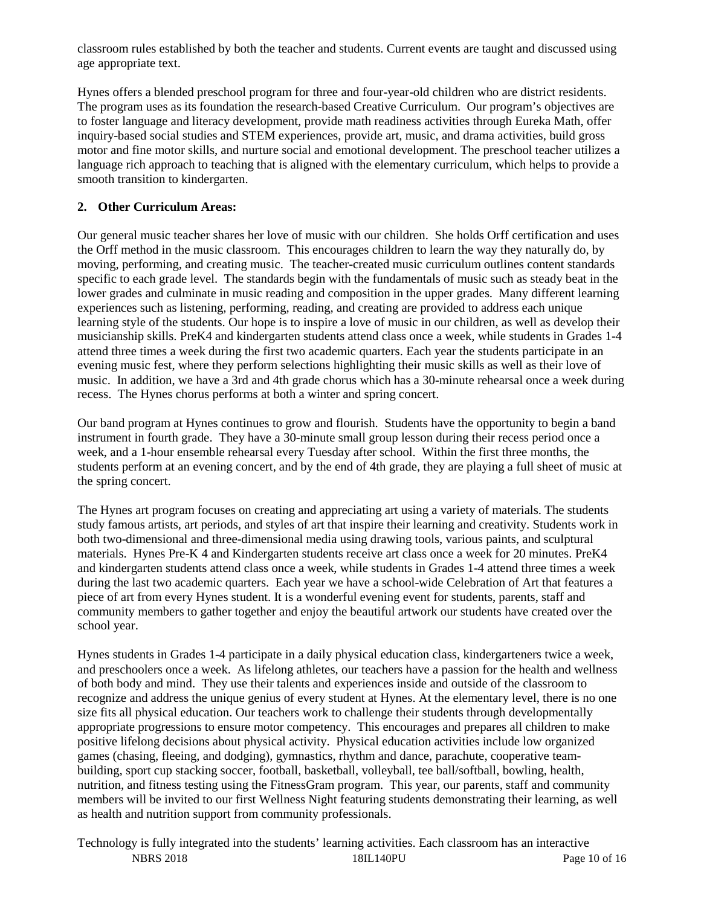classroom rules established by both the teacher and students. Current events are taught and discussed using age appropriate text.

Hynes offers a blended preschool program for three and four-year-old children who are district residents. The program uses as its foundation the research-based Creative Curriculum. Our program's objectives are to foster language and literacy development, provide math readiness activities through Eureka Math, offer inquiry-based social studies and STEM experiences, provide art, music, and drama activities, build gross motor and fine motor skills, and nurture social and emotional development. The preschool teacher utilizes a language rich approach to teaching that is aligned with the elementary curriculum, which helps to provide a smooth transition to kindergarten.

## **2. Other Curriculum Areas:**

Our general music teacher shares her love of music with our children. She holds Orff certification and uses the Orff method in the music classroom. This encourages children to learn the way they naturally do, by moving, performing, and creating music. The teacher-created music curriculum outlines content standards specific to each grade level. The standards begin with the fundamentals of music such as steady beat in the lower grades and culminate in music reading and composition in the upper grades. Many different learning experiences such as listening, performing, reading, and creating are provided to address each unique learning style of the students. Our hope is to inspire a love of music in our children, as well as develop their musicianship skills. PreK4 and kindergarten students attend class once a week, while students in Grades 1-4 attend three times a week during the first two academic quarters. Each year the students participate in an evening music fest, where they perform selections highlighting their music skills as well as their love of music. In addition, we have a 3rd and 4th grade chorus which has a 30-minute rehearsal once a week during recess. The Hynes chorus performs at both a winter and spring concert.

Our band program at Hynes continues to grow and flourish. Students have the opportunity to begin a band instrument in fourth grade. They have a 30-minute small group lesson during their recess period once a week, and a 1-hour ensemble rehearsal every Tuesday after school. Within the first three months, the students perform at an evening concert, and by the end of 4th grade, they are playing a full sheet of music at the spring concert.

The Hynes art program focuses on creating and appreciating art using a variety of materials. The students study famous artists, art periods, and styles of art that inspire their learning and creativity. Students work in both two-dimensional and three-dimensional media using drawing tools, various paints, and sculptural materials. Hynes Pre-K 4 and Kindergarten students receive art class once a week for 20 minutes. PreK4 and kindergarten students attend class once a week, while students in Grades 1-4 attend three times a week during the last two academic quarters. Each year we have a school-wide Celebration of Art that features a piece of art from every Hynes student. It is a wonderful evening event for students, parents, staff and community members to gather together and enjoy the beautiful artwork our students have created over the school year.

Hynes students in Grades 1-4 participate in a daily physical education class, kindergarteners twice a week, and preschoolers once a week. As lifelong athletes, our teachers have a passion for the health and wellness of both body and mind. They use their talents and experiences inside and outside of the classroom to recognize and address the unique genius of every student at Hynes. At the elementary level, there is no one size fits all physical education. Our teachers work to challenge their students through developmentally appropriate progressions to ensure motor competency. This encourages and prepares all children to make positive lifelong decisions about physical activity. Physical education activities include low organized games (chasing, fleeing, and dodging), gymnastics, rhythm and dance, parachute, cooperative teambuilding, sport cup stacking soccer, football, basketball, volleyball, tee ball/softball, bowling, health, nutrition, and fitness testing using the FitnessGram program. This year, our parents, staff and community members will be invited to our first Wellness Night featuring students demonstrating their learning, as well as health and nutrition support from community professionals.

NBRS 2018 18IL140PU Page 10 of 16 Technology is fully integrated into the students' learning activities. Each classroom has an interactive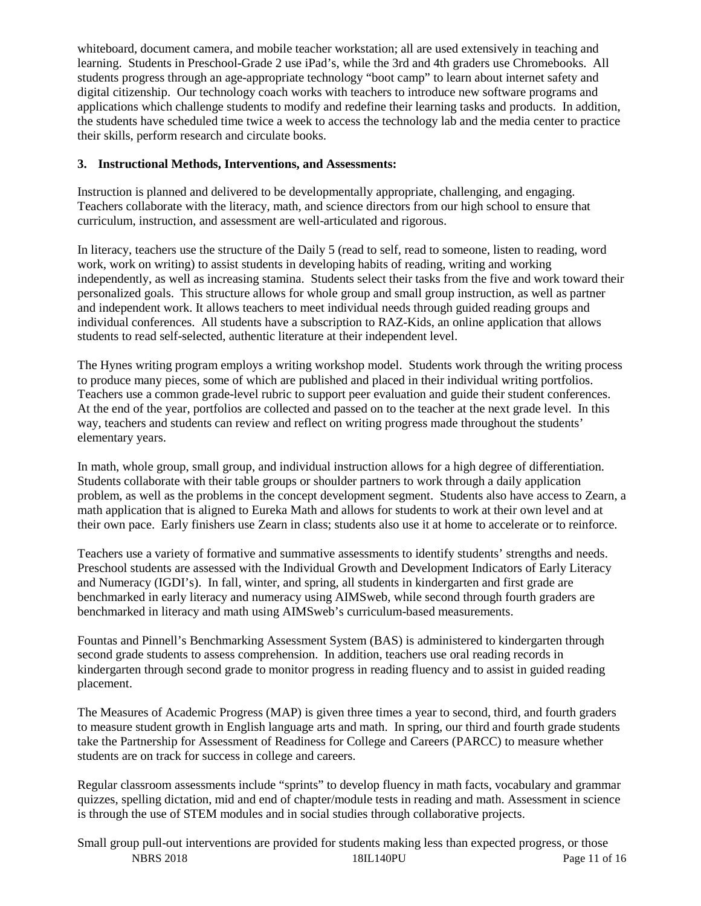whiteboard, document camera, and mobile teacher workstation; all are used extensively in teaching and learning. Students in Preschool-Grade 2 use iPad's, while the 3rd and 4th graders use Chromebooks. All students progress through an age-appropriate technology "boot camp" to learn about internet safety and digital citizenship. Our technology coach works with teachers to introduce new software programs and applications which challenge students to modify and redefine their learning tasks and products. In addition, the students have scheduled time twice a week to access the technology lab and the media center to practice their skills, perform research and circulate books.

#### **3. Instructional Methods, Interventions, and Assessments:**

Instruction is planned and delivered to be developmentally appropriate, challenging, and engaging. Teachers collaborate with the literacy, math, and science directors from our high school to ensure that curriculum, instruction, and assessment are well-articulated and rigorous.

In literacy, teachers use the structure of the Daily 5 (read to self, read to someone, listen to reading, word work, work on writing) to assist students in developing habits of reading, writing and working independently, as well as increasing stamina. Students select their tasks from the five and work toward their personalized goals. This structure allows for whole group and small group instruction, as well as partner and independent work. It allows teachers to meet individual needs through guided reading groups and individual conferences. All students have a subscription to RAZ-Kids, an online application that allows students to read self-selected, authentic literature at their independent level.

The Hynes writing program employs a writing workshop model. Students work through the writing process to produce many pieces, some of which are published and placed in their individual writing portfolios. Teachers use a common grade-level rubric to support peer evaluation and guide their student conferences. At the end of the year, portfolios are collected and passed on to the teacher at the next grade level. In this way, teachers and students can review and reflect on writing progress made throughout the students' elementary years.

In math, whole group, small group, and individual instruction allows for a high degree of differentiation. Students collaborate with their table groups or shoulder partners to work through a daily application problem, as well as the problems in the concept development segment. Students also have access to Zearn, a math application that is aligned to Eureka Math and allows for students to work at their own level and at their own pace. Early finishers use Zearn in class; students also use it at home to accelerate or to reinforce.

Teachers use a variety of formative and summative assessments to identify students' strengths and needs. Preschool students are assessed with the Individual Growth and Development Indicators of Early Literacy and Numeracy (IGDI's). In fall, winter, and spring, all students in kindergarten and first grade are benchmarked in early literacy and numeracy using AIMSweb, while second through fourth graders are benchmarked in literacy and math using AIMSweb's curriculum-based measurements.

Fountas and Pinnell's Benchmarking Assessment System (BAS) is administered to kindergarten through second grade students to assess comprehension. In addition, teachers use oral reading records in kindergarten through second grade to monitor progress in reading fluency and to assist in guided reading placement.

The Measures of Academic Progress (MAP) is given three times a year to second, third, and fourth graders to measure student growth in English language arts and math. In spring, our third and fourth grade students take the Partnership for Assessment of Readiness for College and Careers (PARCC) to measure whether students are on track for success in college and careers.

Regular classroom assessments include "sprints" to develop fluency in math facts, vocabulary and grammar quizzes, spelling dictation, mid and end of chapter/module tests in reading and math. Assessment in science is through the use of STEM modules and in social studies through collaborative projects.

NBRS 2018 18IL140PU Page 11 of 16 Small group pull-out interventions are provided for students making less than expected progress, or those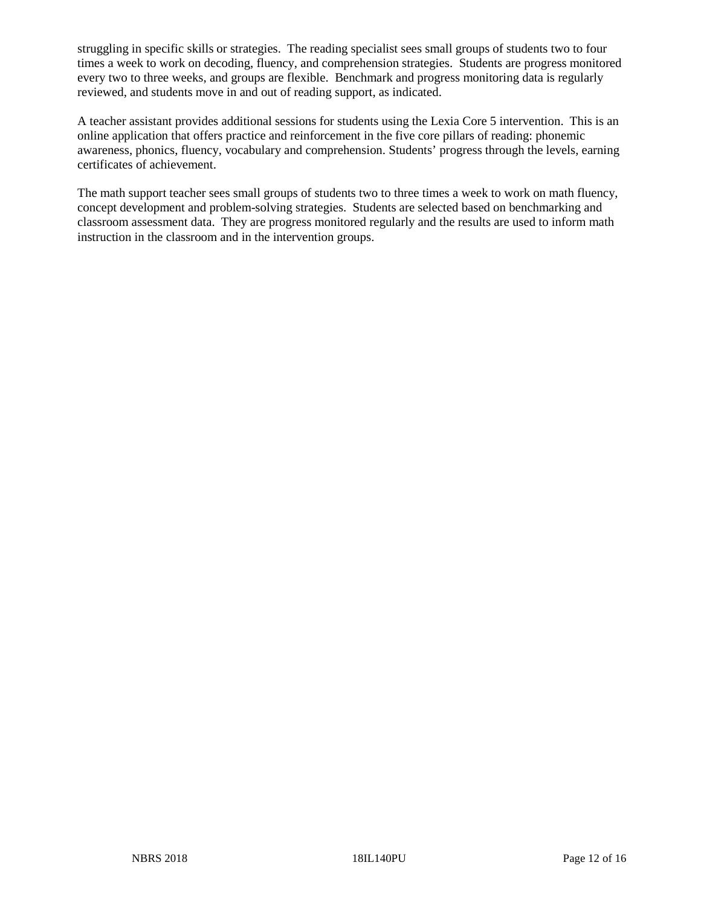struggling in specific skills or strategies. The reading specialist sees small groups of students two to four times a week to work on decoding, fluency, and comprehension strategies. Students are progress monitored every two to three weeks, and groups are flexible. Benchmark and progress monitoring data is regularly reviewed, and students move in and out of reading support, as indicated.

A teacher assistant provides additional sessions for students using the Lexia Core 5 intervention. This is an online application that offers practice and reinforcement in the five core pillars of reading: phonemic awareness, phonics, fluency, vocabulary and comprehension. Students' progress through the levels, earning certificates of achievement.

The math support teacher sees small groups of students two to three times a week to work on math fluency, concept development and problem-solving strategies. Students are selected based on benchmarking and classroom assessment data. They are progress monitored regularly and the results are used to inform math instruction in the classroom and in the intervention groups.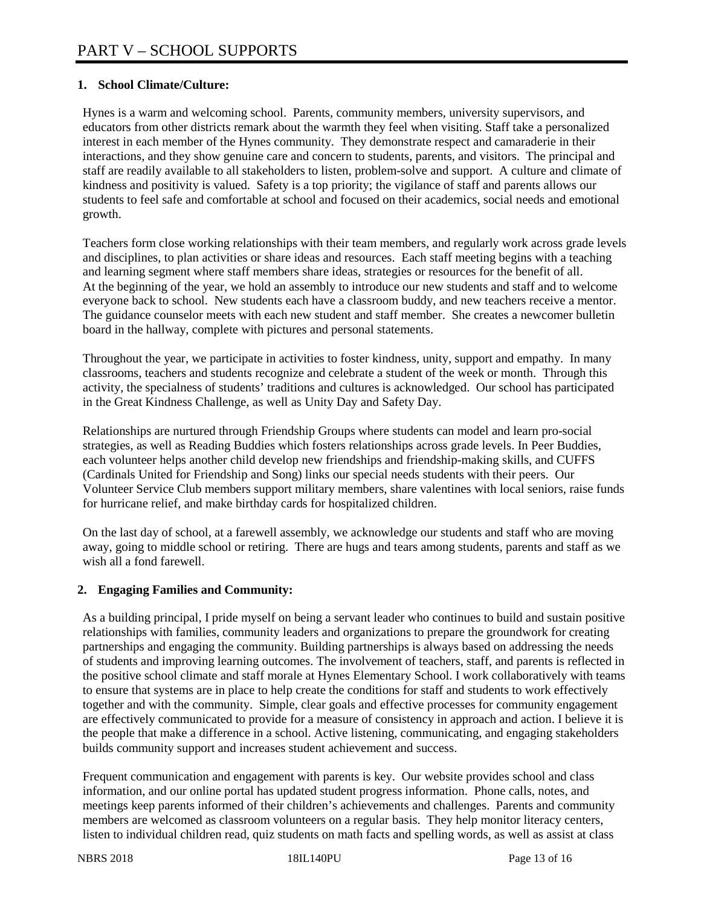#### **1. School Climate/Culture:**

Hynes is a warm and welcoming school. Parents, community members, university supervisors, and educators from other districts remark about the warmth they feel when visiting. Staff take a personalized interest in each member of the Hynes community. They demonstrate respect and camaraderie in their interactions, and they show genuine care and concern to students, parents, and visitors. The principal and staff are readily available to all stakeholders to listen, problem-solve and support. A culture and climate of kindness and positivity is valued. Safety is a top priority; the vigilance of staff and parents allows our students to feel safe and comfortable at school and focused on their academics, social needs and emotional growth.

Teachers form close working relationships with their team members, and regularly work across grade levels and disciplines, to plan activities or share ideas and resources. Each staff meeting begins with a teaching and learning segment where staff members share ideas, strategies or resources for the benefit of all. At the beginning of the year, we hold an assembly to introduce our new students and staff and to welcome everyone back to school. New students each have a classroom buddy, and new teachers receive a mentor. The guidance counselor meets with each new student and staff member. She creates a newcomer bulletin board in the hallway, complete with pictures and personal statements.

Throughout the year, we participate in activities to foster kindness, unity, support and empathy. In many classrooms, teachers and students recognize and celebrate a student of the week or month. Through this activity, the specialness of students' traditions and cultures is acknowledged. Our school has participated in the Great Kindness Challenge, as well as Unity Day and Safety Day.

Relationships are nurtured through Friendship Groups where students can model and learn pro-social strategies, as well as Reading Buddies which fosters relationships across grade levels. In Peer Buddies, each volunteer helps another child develop new friendships and friendship-making skills, and CUFFS (Cardinals United for Friendship and Song) links our special needs students with their peers. Our Volunteer Service Club members support military members, share valentines with local seniors, raise funds for hurricane relief, and make birthday cards for hospitalized children.

On the last day of school, at a farewell assembly, we acknowledge our students and staff who are moving away, going to middle school or retiring. There are hugs and tears among students, parents and staff as we wish all a fond farewell.

#### **2. Engaging Families and Community:**

As a building principal, I pride myself on being a servant leader who continues to build and sustain positive relationships with families, community leaders and organizations to prepare the groundwork for creating partnerships and engaging the community. Building partnerships is always based on addressing the needs of students and improving learning outcomes. The involvement of teachers, staff, and parents is reflected in the positive school climate and staff morale at Hynes Elementary School. I work collaboratively with teams to ensure that systems are in place to help create the conditions for staff and students to work effectively together and with the community. Simple, clear goals and effective processes for community engagement are effectively communicated to provide for a measure of consistency in approach and action. I believe it is the people that make a difference in a school. Active listening, communicating, and engaging stakeholders builds community support and increases student achievement and success.

Frequent communication and engagement with parents is key. Our website provides school and class information, and our online portal has updated student progress information. Phone calls, notes, and meetings keep parents informed of their children's achievements and challenges. Parents and community members are welcomed as classroom volunteers on a regular basis. They help monitor literacy centers, listen to individual children read, quiz students on math facts and spelling words, as well as assist at class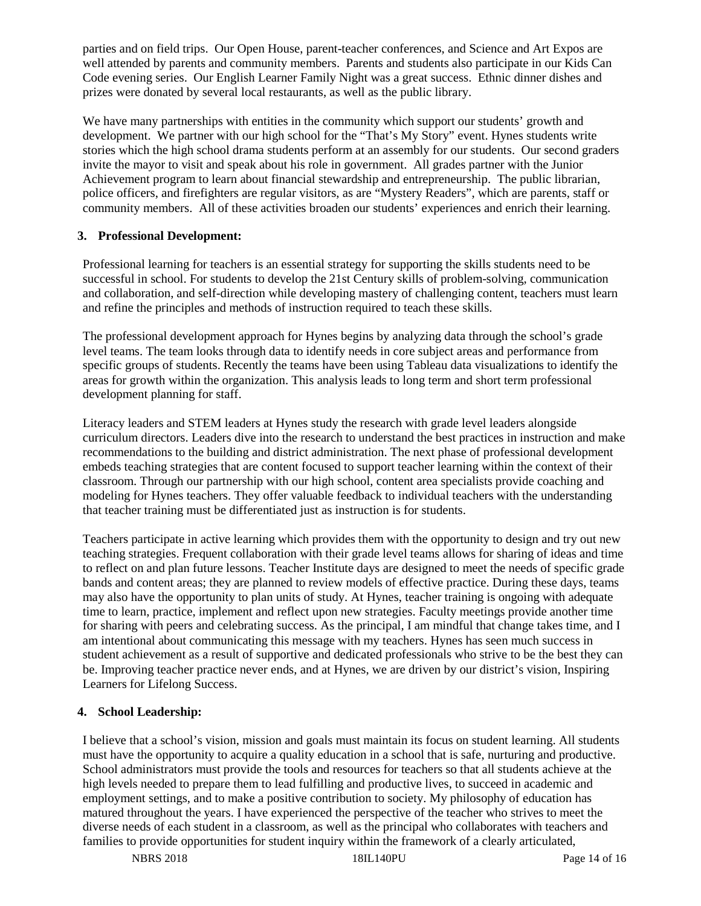parties and on field trips. Our Open House, parent-teacher conferences, and Science and Art Expos are well attended by parents and community members. Parents and students also participate in our Kids Can Code evening series. Our English Learner Family Night was a great success. Ethnic dinner dishes and prizes were donated by several local restaurants, as well as the public library.

We have many partnerships with entities in the community which support our students' growth and development. We partner with our high school for the "That's My Story" event. Hynes students write stories which the high school drama students perform at an assembly for our students. Our second graders invite the mayor to visit and speak about his role in government. All grades partner with the Junior Achievement program to learn about financial stewardship and entrepreneurship. The public librarian, police officers, and firefighters are regular visitors, as are "Mystery Readers", which are parents, staff or community members. All of these activities broaden our students' experiences and enrich their learning.

#### **3. Professional Development:**

Professional learning for teachers is an essential strategy for supporting the skills students need to be successful in school. For students to develop the 21st Century skills of problem-solving, communication and collaboration, and self-direction while developing mastery of challenging content, teachers must learn and refine the principles and methods of instruction required to teach these skills.

The professional development approach for Hynes begins by analyzing data through the school's grade level teams. The team looks through data to identify needs in core subject areas and performance from specific groups of students. Recently the teams have been using Tableau data visualizations to identify the areas for growth within the organization. This analysis leads to long term and short term professional development planning for staff.

Literacy leaders and STEM leaders at Hynes study the research with grade level leaders alongside curriculum directors. Leaders dive into the research to understand the best practices in instruction and make recommendations to the building and district administration. The next phase of professional development embeds teaching strategies that are content focused to support teacher learning within the context of their classroom. Through our partnership with our high school, content area specialists provide coaching and modeling for Hynes teachers. They offer valuable feedback to individual teachers with the understanding that teacher training must be differentiated just as instruction is for students.

Teachers participate in active learning which provides them with the opportunity to design and try out new teaching strategies. Frequent collaboration with their grade level teams allows for sharing of ideas and time to reflect on and plan future lessons. Teacher Institute days are designed to meet the needs of specific grade bands and content areas; they are planned to review models of effective practice. During these days, teams may also have the opportunity to plan units of study. At Hynes, teacher training is ongoing with adequate time to learn, practice, implement and reflect upon new strategies. Faculty meetings provide another time for sharing with peers and celebrating success. As the principal, I am mindful that change takes time, and I am intentional about communicating this message with my teachers. Hynes has seen much success in student achievement as a result of supportive and dedicated professionals who strive to be the best they can be. Improving teacher practice never ends, and at Hynes, we are driven by our district's vision, Inspiring Learners for Lifelong Success.

#### **4. School Leadership:**

I believe that a school's vision, mission and goals must maintain its focus on student learning. All students must have the opportunity to acquire a quality education in a school that is safe, nurturing and productive. School administrators must provide the tools and resources for teachers so that all students achieve at the high levels needed to prepare them to lead fulfilling and productive lives, to succeed in academic and employment settings, and to make a positive contribution to society. My philosophy of education has matured throughout the years. I have experienced the perspective of the teacher who strives to meet the diverse needs of each student in a classroom, as well as the principal who collaborates with teachers and families to provide opportunities for student inquiry within the framework of a clearly articulated,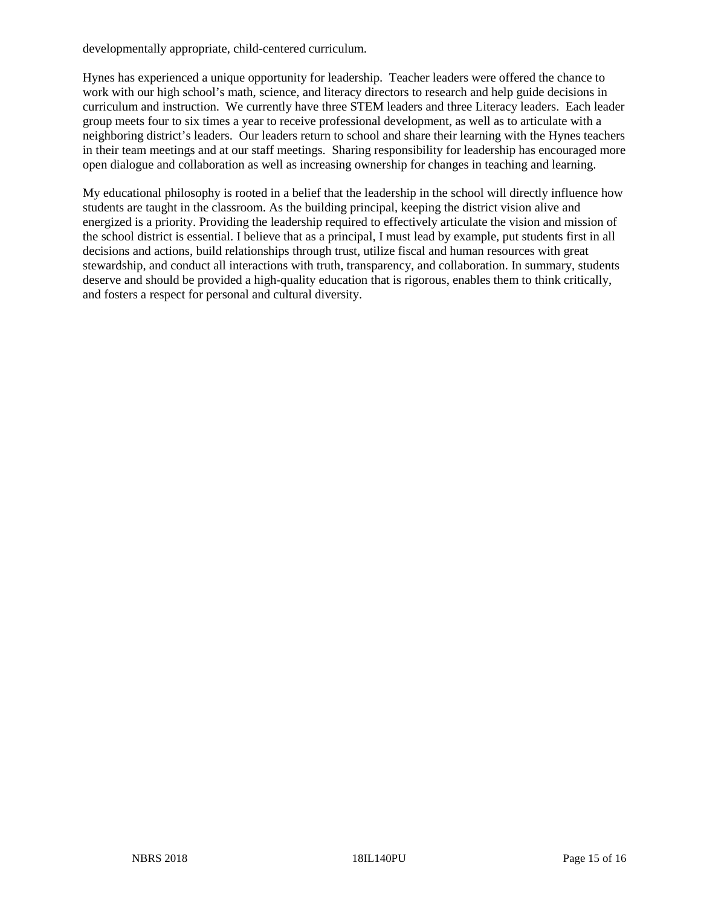developmentally appropriate, child-centered curriculum.

Hynes has experienced a unique opportunity for leadership. Teacher leaders were offered the chance to work with our high school's math, science, and literacy directors to research and help guide decisions in curriculum and instruction. We currently have three STEM leaders and three Literacy leaders. Each leader group meets four to six times a year to receive professional development, as well as to articulate with a neighboring district's leaders. Our leaders return to school and share their learning with the Hynes teachers in their team meetings and at our staff meetings. Sharing responsibility for leadership has encouraged more open dialogue and collaboration as well as increasing ownership for changes in teaching and learning.

My educational philosophy is rooted in a belief that the leadership in the school will directly influence how students are taught in the classroom. As the building principal, keeping the district vision alive and energized is a priority. Providing the leadership required to effectively articulate the vision and mission of the school district is essential. I believe that as a principal, I must lead by example, put students first in all decisions and actions, build relationships through trust, utilize fiscal and human resources with great stewardship, and conduct all interactions with truth, transparency, and collaboration. In summary, students deserve and should be provided a high-quality education that is rigorous, enables them to think critically, and fosters a respect for personal and cultural diversity.